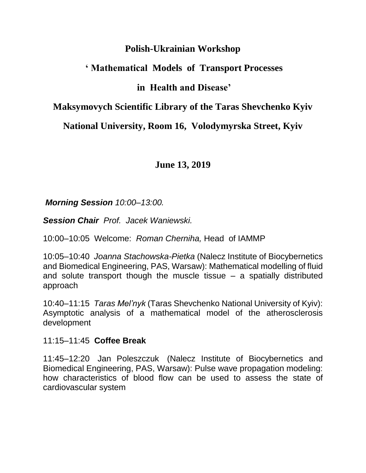## **Polish-Ukrainian Workshop**

# **' Mathematical Models of Transport Processes**

# **in Health and Disease'**

## **Maksymovych Scientific Library of the Taras Shevchenko Kyiv**

# **National University, Room 16, Volodymyrska Street, Kyiv**

# **June 13, 2019**

## *Morning Session 10:00–13:00.*

*Session Chair Prof. Jacek Waniewski.*

10:00–10:05 Welcome: *Roman Cherniha,* Head of IAMMP

10:05–10:40 *Joanna Stachowska-Pietka* (Nalecz Institute of Biocybernetics and Biomedical Engineering, PAS, Warsaw): Mathematical modelling of fluid and solute transport though the muscle tissue – a spatially distributed approach

10:40–11:15 *Taras Mel'nyk* (Taras Shevchenko National University of Kyiv): Asymptotic analysis of a mathematical model of the atherosclerosis development

### 11:15–11:45 **Coffee Break**

11:45–12:20 Jan Poleszczuk (Nalecz Institute of Biocybernetics and Biomedical Engineering, PAS, Warsaw): Pulse wave propagation modeling: how characteristics of blood flow can be used to assess the state of cardiovascular system